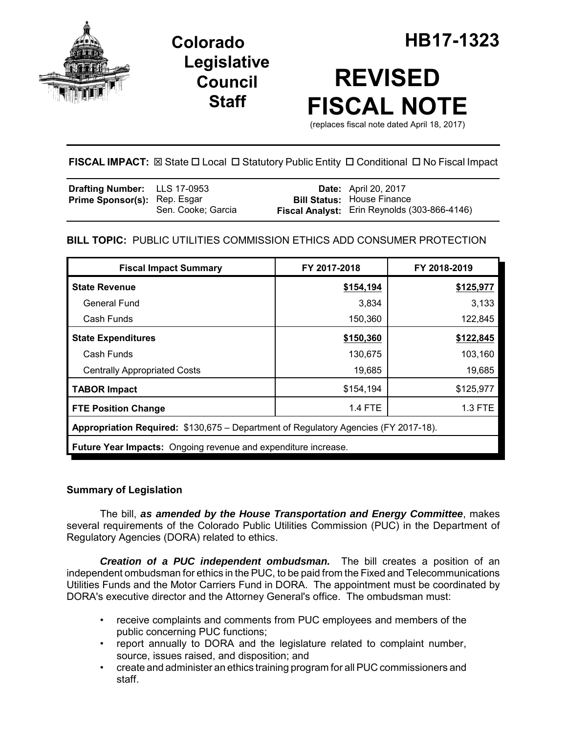

**Legislative Council Staff**



# **REVISED FISCAL NOTE**

(replaces fiscal note dated April 18, 2017)

**FISCAL IMPACT:** ⊠ State □ Local □ Statutory Public Entity □ Conditional □ No Fiscal Impact

| <b>Drafting Number:</b> LLS 17-0953 |                    | <b>Date:</b> April 20, 2017                  |
|-------------------------------------|--------------------|----------------------------------------------|
| <b>Prime Sponsor(s): Rep. Esgar</b> |                    | <b>Bill Status: House Finance</b>            |
|                                     | Sen. Cooke; Garcia | Fiscal Analyst: Erin Reynolds (303-866-4146) |

## **BILL TOPIC:** PUBLIC UTILITIES COMMISSION ETHICS ADD CONSUMER PROTECTION

| <b>Fiscal Impact Summary</b>                                                        | FY 2017-2018   | FY 2018-2019 |  |  |  |
|-------------------------------------------------------------------------------------|----------------|--------------|--|--|--|
| <b>State Revenue</b>                                                                | \$154,194      | \$125,977    |  |  |  |
| <b>General Fund</b>                                                                 | 3,834          | 3,133        |  |  |  |
| Cash Funds                                                                          | 150,360        | 122,845      |  |  |  |
| <b>State Expenditures</b>                                                           | \$150,360      | \$122,845    |  |  |  |
| Cash Funds                                                                          | 130,675        | 103,160      |  |  |  |
| <b>Centrally Appropriated Costs</b>                                                 | 19,685         | 19,685       |  |  |  |
| <b>TABOR Impact</b>                                                                 | \$154,194      | \$125,977    |  |  |  |
| <b>FTE Position Change</b>                                                          | <b>1.4 FTE</b> | 1.3 FTE      |  |  |  |
| Appropriation Required: \$130,675 – Department of Regulatory Agencies (FY 2017-18). |                |              |  |  |  |
| Future Year Impacts: Ongoing revenue and expenditure increase.                      |                |              |  |  |  |

## **Summary of Legislation**

The bill, *as amended by the House Transportation and Energy Committee*, makes several requirements of the Colorado Public Utilities Commission (PUC) in the Department of Regulatory Agencies (DORA) related to ethics.

*Creation of a PUC independent ombudsman.* The bill creates a position of an independent ombudsman for ethics in the PUC, to be paid from the Fixed and Telecommunications Utilities Funds and the Motor Carriers Fund in DORA. The appointment must be coordinated by DORA's executive director and the Attorney General's office. The ombudsman must:

- receive complaints and comments from PUC employees and members of the public concerning PUC functions;
- report annually to DORA and the legislature related to complaint number, source, issues raised, and disposition; and
- create and administer an ethics training program for all PUC commissioners and staff.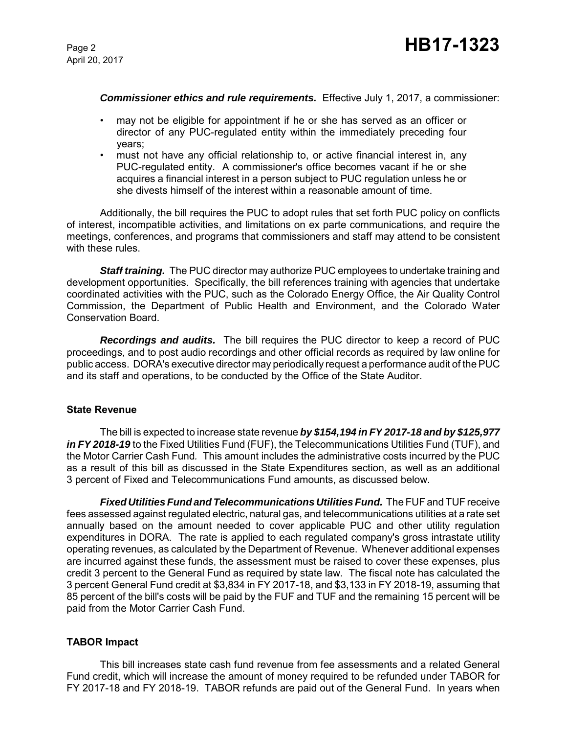#### *Commissioner ethics and rule requirements.* Effective July 1, 2017, a commissioner:

- may not be eligible for appointment if he or she has served as an officer or director of any PUC-regulated entity within the immediately preceding four years;
- must not have any official relationship to, or active financial interest in, any PUC-regulated entity. A commissioner's office becomes vacant if he or she acquires a financial interest in a person subject to PUC regulation unless he or she divests himself of the interest within a reasonable amount of time.

Additionally, the bill requires the PUC to adopt rules that set forth PUC policy on conflicts of interest, incompatible activities, and limitations on ex parte communications, and require the meetings, conferences, and programs that commissioners and staff may attend to be consistent with these rules.

*Staff training.* The PUC director may authorize PUC employees to undertake training and development opportunities. Specifically, the bill references training with agencies that undertake coordinated activities with the PUC, such as the Colorado Energy Office, the Air Quality Control Commission, the Department of Public Health and Environment, and the Colorado Water Conservation Board.

*Recordings and audits.* The bill requires the PUC director to keep a record of PUC proceedings, and to post audio recordings and other official records as required by law online for public access. DORA's executive director may periodically request a performance audit of the PUC and its staff and operations, to be conducted by the Office of the State Auditor.

#### **State Revenue**

The bill is expected to increase state revenue *by \$154,194 in FY 2017-18 and by \$125,977 in FY 2018-19* to the Fixed Utilities Fund (FUF), the Telecommunications Utilities Fund (TUF), and the Motor Carrier Cash Fund*.* This amount includes the administrative costs incurred by the PUC as a result of this bill as discussed in the State Expenditures section, as well as an additional 3 percent of Fixed and Telecommunications Fund amounts, as discussed below.

*Fixed Utilities Fund and Telecommunications Utilities Fund.* The FUF and TUF receive fees assessed against regulated electric, natural gas, and telecommunications utilities at a rate set annually based on the amount needed to cover applicable PUC and other utility regulation expenditures in DORA. The rate is applied to each regulated company's gross intrastate utility operating revenues, as calculated by the Department of Revenue. Whenever additional expenses are incurred against these funds, the assessment must be raised to cover these expenses, plus credit 3 percent to the General Fund as required by state law. The fiscal note has calculated the 3 percent General Fund credit at \$3,834 in FY 2017-18, and \$3,133 in FY 2018-19, assuming that 85 percent of the bill's costs will be paid by the FUF and TUF and the remaining 15 percent will be paid from the Motor Carrier Cash Fund.

## **TABOR Impact**

This bill increases state cash fund revenue from fee assessments and a related General Fund credit, which will increase the amount of money required to be refunded under TABOR for FY 2017-18 and FY 2018-19. TABOR refunds are paid out of the General Fund. In years when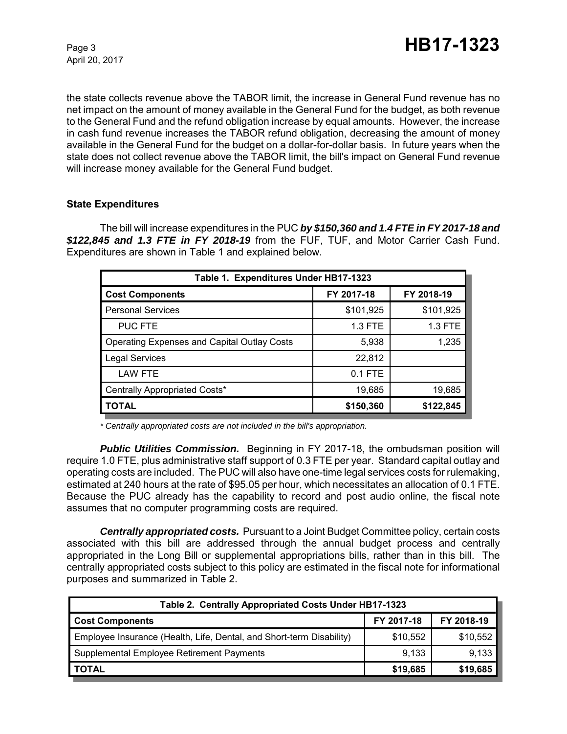April 20, 2017

the state collects revenue above the TABOR limit, the increase in General Fund revenue has no net impact on the amount of money available in the General Fund for the budget, as both revenue to the General Fund and the refund obligation increase by equal amounts. However, the increase in cash fund revenue increases the TABOR refund obligation, decreasing the amount of money available in the General Fund for the budget on a dollar-for-dollar basis. In future years when the state does not collect revenue above the TABOR limit, the bill's impact on General Fund revenue will increase money available for the General Fund budget.

## **State Expenditures**

The bill will increase expenditures in the PUC *by \$150,360 and 1.4 FTE in FY 2017-18 and \$122,845 and 1.3 FTE in FY 2018-19* from the FUF, TUF, and Motor Carrier Cash Fund. Expenditures are shown in Table 1 and explained below.

| Table 1. Expenditures Under HB17-1323              |            |            |  |  |  |  |
|----------------------------------------------------|------------|------------|--|--|--|--|
| <b>Cost Components</b>                             | FY 2017-18 | FY 2018-19 |  |  |  |  |
| <b>Personal Services</b>                           | \$101,925  | \$101,925  |  |  |  |  |
| <b>PUC FTE</b>                                     | 1.3 FTE    | 1.3 FTE    |  |  |  |  |
| <b>Operating Expenses and Capital Outlay Costs</b> | 5,938      | 1,235      |  |  |  |  |
| <b>Legal Services</b>                              | 22,812     |            |  |  |  |  |
| <b>LAW FTE</b>                                     | $0.1$ FTE  |            |  |  |  |  |
| Centrally Appropriated Costs*                      | 19,685     | 19,685     |  |  |  |  |
| <b>TOTAL</b>                                       | \$150,360  | \$122,845  |  |  |  |  |

*\* Centrally appropriated costs are not included in the bill's appropriation.*

**Public Utilities Commission.** Beginning in FY 2017-18, the ombudsman position will require 1.0 FTE, plus administrative staff support of 0.3 FTE per year. Standard capital outlay and operating costs are included. The PUC will also have one-time legal services costs for rulemaking, estimated at 240 hours at the rate of \$95.05 per hour, which necessitates an allocation of 0.1 FTE. Because the PUC already has the capability to record and post audio online, the fiscal note assumes that no computer programming costs are required.

*Centrally appropriated costs.* Pursuant to a Joint Budget Committee policy, certain costs associated with this bill are addressed through the annual budget process and centrally appropriated in the Long Bill or supplemental appropriations bills, rather than in this bill. The centrally appropriated costs subject to this policy are estimated in the fiscal note for informational purposes and summarized in Table 2.

| Table 2. Centrally Appropriated Costs Under HB17-1323                |            |            |  |  |  |
|----------------------------------------------------------------------|------------|------------|--|--|--|
| <b>Cost Components</b>                                               | FY 2017-18 | FY 2018-19 |  |  |  |
| Employee Insurance (Health, Life, Dental, and Short-term Disability) | \$10,552   | \$10,552   |  |  |  |
| Supplemental Employee Retirement Payments                            | 9,133      | 9,133      |  |  |  |
| <b>TOTAL</b>                                                         | \$19,685   | \$19,685   |  |  |  |